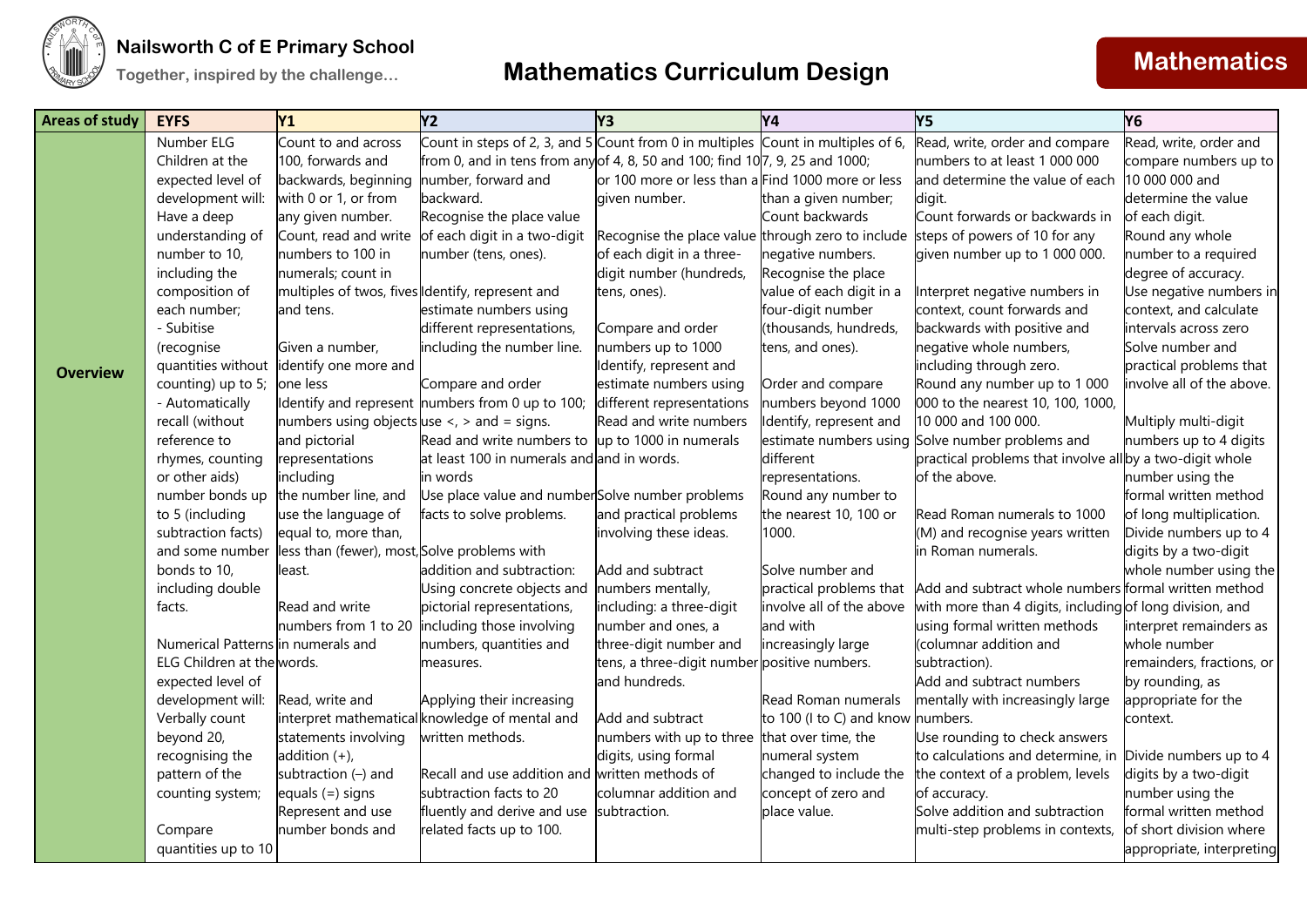

| <b>Areas of study</b> | <b>EYFS</b>                        | <b>Y1</b>                                              | Y <sub>2</sub>                                                                   | Y <sub>3</sub>                                    | Y4                                       | Y5                                                                              | Y <sub>6</sub>                                  |
|-----------------------|------------------------------------|--------------------------------------------------------|----------------------------------------------------------------------------------|---------------------------------------------------|------------------------------------------|---------------------------------------------------------------------------------|-------------------------------------------------|
|                       | Number ELG                         | Count to and across                                    | Count in steps of 2, 3, and 5 Count from 0 in multiples Count in multiples of 6, |                                                   |                                          | Read, write, order and compare                                                  | Read, write, order and                          |
|                       | Children at the                    | 100, forwards and                                      | from 0, and in tens from any of 4, 8, 50 and 100; find 10 $7$ , 9, 25 and 1000;  |                                                   |                                          | numbers to at least 1 000 000                                                   | compare numbers up to                           |
|                       | expected level of                  | backwards, beginning                                   | number, forward and                                                              | or 100 more or less than a Find 1000 more or less |                                          | and determine the value of each                                                 | 10 000 000 and                                  |
|                       | development will:                  | with 0 or 1, or from                                   | backward.                                                                        | given number.                                     | than a given number;                     | digit.                                                                          | determine the value                             |
|                       | Have a deep                        | any given number.                                      | Recognise the place value                                                        |                                                   | Count backwards                          | Count forwards or backwards in                                                  | of each digit.                                  |
|                       | understanding of                   | Count, read and write                                  | of each digit in a two-digit                                                     |                                                   |                                          | Recognise the place value through zero to include steps of powers of 10 for any | Round any whole                                 |
|                       | number to 10,                      | numbers to 100 in                                      | number (tens, ones).                                                             | of each digit in a three-                         | negative numbers.                        | given number up to 1 000 000.                                                   | number to a required                            |
|                       | including the                      | numerals; count in                                     |                                                                                  | digit number (hundreds,                           | Recognise the place                      |                                                                                 | degree of accuracy.                             |
|                       | composition of                     | multiples of twos, fives dentify, represent and        |                                                                                  | tens, ones).                                      | value of each digit in a                 | Interpret negative numbers in                                                   | Use negative numbers in                         |
|                       | each number;                       | and tens.                                              | estimate numbers using                                                           |                                                   | four-digit number                        | context, count forwards and                                                     | context, and calculate                          |
|                       | - Subitise                         |                                                        | different representations,                                                       | Compare and order                                 | (thousands, hundreds,                    | backwards with positive and                                                     | intervals across zero                           |
|                       | (recognise                         | Given a number,                                        | including the number line.                                                       | numbers up to 1000                                | tens, and ones).                         | negative whole numbers,                                                         | Solve number and                                |
| <b>Overview</b>       | quantities without                 | identify one more and                                  |                                                                                  | Identify, represent and                           |                                          | including through zero.                                                         | practical problems that                         |
|                       | counting) up to 5;                 | one less                                               | Compare and order                                                                | estimate numbers using                            | Order and compare                        | Round any number up to 1 000                                                    | involve all of the above.                       |
|                       | - Automatically                    |                                                        | Identify and represent numbers from 0 up to 100;                                 | different representations                         | numbers beyond 1000                      | 000 to the nearest 10, 100, 1000,                                               |                                                 |
|                       | recall (without                    | numbers using objects use $\langle$ , $>$ and = signs. |                                                                                  | Read and write numbers                            | Identify, represent and                  | 10 000 and 100 000.                                                             | Multiply multi-digit                            |
|                       | reference to                       | and pictorial                                          | Read and write numbers to $\mu$ p to 1000 in numerals                            |                                                   |                                          | estimate numbers using Solve number problems and                                | numbers up to 4 digits                          |
|                       | rhymes, counting                   | representations                                        | at least 100 in numerals and and in words.                                       |                                                   | different                                | practical problems that involve all by a two-digit whole                        |                                                 |
|                       | or other aids)                     | including                                              | in words                                                                         |                                                   | representations.                         | of the above.                                                                   | number using the                                |
|                       | number bonds up                    | the number line, and                                   | Use place value and numberSolve number problems                                  |                                                   | Round any number to                      |                                                                                 | formal written method                           |
|                       | to 5 (including                    | use the language of                                    | facts to solve problems.                                                         | and practical problems                            | the nearest 10, 100 or                   | Read Roman numerals to 1000                                                     | of long multiplication.                         |
|                       | subtraction facts)                 | equal to, more than,                                   |                                                                                  | involving these ideas.                            | 1000.                                    | (M) and recognise years written                                                 | Divide numbers up to 4                          |
|                       | and some number                    | less than (fewer), most, Solve problems with           |                                                                                  |                                                   |                                          | in Roman numerals.                                                              | digits by a two-digit                           |
|                       | bonds to 10,                       | least.                                                 | addition and subtraction:                                                        | Add and subtract                                  | Solve number and                         |                                                                                 | whole number using the                          |
|                       | including double                   |                                                        | Using concrete objects and                                                       | numbers mentally,                                 | practical problems that                  | Add and subtract whole numbers formal written method                            |                                                 |
|                       | facts.                             | Read and write                                         | pictorial representations,                                                       | including: a three-digit                          | involve all of the above                 | with more than 4 digits, including of long division, and                        |                                                 |
|                       |                                    | numbers from 1 to 20                                   | including those involving                                                        | number and ones, a                                | and with                                 | using formal written methods                                                    | interpret remainders as                         |
|                       | Numerical Patterns in numerals and |                                                        | numbers, quantities and                                                          | three-digit number and                            | increasingly large                       | (columnar addition and                                                          | whole number                                    |
|                       | ELG Children at the words.         |                                                        | measures.                                                                        | tens, a three-digit number positive numbers.      |                                          | subtraction).                                                                   | remainders, fractions, or                       |
|                       | expected level of                  |                                                        |                                                                                  | and hundreds.                                     |                                          | Add and subtract numbers                                                        | by rounding, as                                 |
|                       | development will:                  | Read, write and                                        | Applying their increasing                                                        |                                                   | Read Roman numerals                      | mentally with increasingly large                                                | appropriate for the                             |
|                       | Verbally count                     |                                                        | interpret mathematical knowledge of mental and                                   | Add and subtract                                  | to 100 (I to C) and know                 | numbers.                                                                        | context.                                        |
|                       | beyond 20,                         | statements involving                                   | written methods.                                                                 | numbers with up to three                          | that over time, the                      | Use rounding to check answers                                                   |                                                 |
|                       | recognising the                    | addition $(+)$ ,                                       | Recall and use addition and written methods of                                   | digits, using formal                              | numeral system<br>changed to include the | to calculations and determine, in                                               | Divide numbers up to 4<br>digits by a two-digit |
|                       | pattern of the                     | subtraction (-) and                                    | subtraction facts to 20                                                          | columnar addition and                             | concept of zero and                      | the context of a problem, levels                                                | number using the                                |
|                       | counting system;                   | equals $(=)$ signs<br>Represent and use                | fluently and derive and use subtraction.                                         |                                                   |                                          | of accuracy.<br>Solve addition and subtraction                                  | formal written method                           |
|                       |                                    | number bonds and                                       |                                                                                  |                                                   | place value.                             |                                                                                 | of short division where                         |
|                       | Compare                            |                                                        | related facts up to 100.                                                         |                                                   |                                          | multi-step problems in contexts,                                                |                                                 |
|                       | quantities up to 10                |                                                        |                                                                                  |                                                   |                                          |                                                                                 | appropriate, interpreting                       |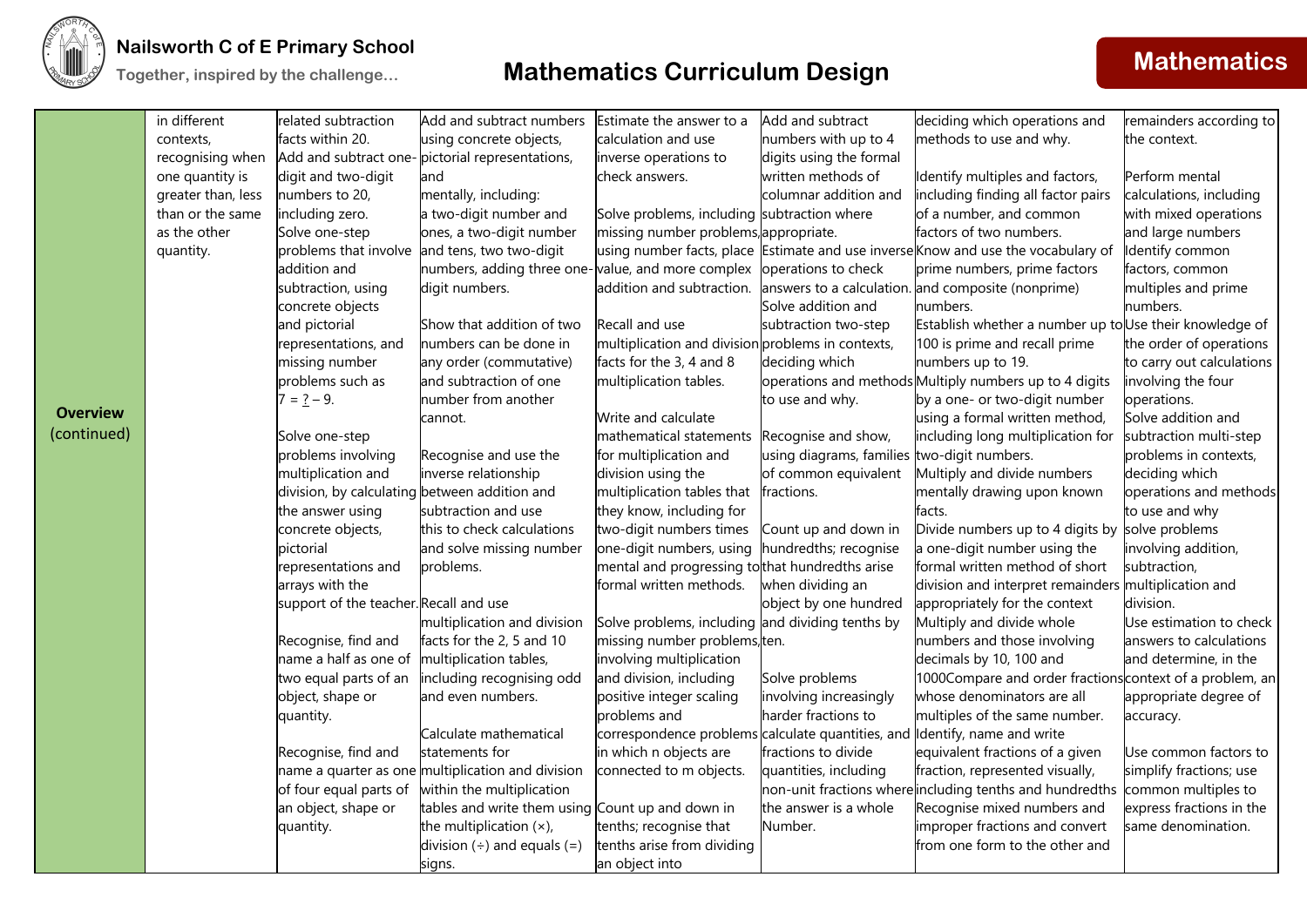

### **Nailsworth C of E Primary School**

|                 | in different       | related subtraction                           | Add and subtract numbers                                              | Estimate the answer to a                          | Add and subtract         | deciding which operations and                                                     | remainders according to   |
|-----------------|--------------------|-----------------------------------------------|-----------------------------------------------------------------------|---------------------------------------------------|--------------------------|-----------------------------------------------------------------------------------|---------------------------|
|                 | contexts,          | facts within 20.                              | using concrete objects,                                               | calculation and use                               | numbers with up to 4     | methods to use and why.                                                           | the context.              |
|                 | recognising when   |                                               | Add and subtract one-pictorial representations,                       | inverse operations to                             | digits using the formal  |                                                                                   |                           |
|                 | one quantity is    | digit and two-digit                           | and                                                                   | check answers.                                    | written methods of       | Identify multiples and factors,                                                   | Perform mental            |
|                 | greater than, less | numbers to 20,                                | mentally, including:                                                  |                                                   | columnar addition and    | including finding all factor pairs                                                | calculations, including   |
|                 | than or the same   | including zero.                               | a two-digit number and                                                | Solve problems, including subtraction where       |                          | of a number, and common                                                           | with mixed operations     |
|                 | as the other       | Solve one-step                                | ones, a two-digit number                                              | missing number problems, appropriate.             |                          | factors of two numbers.                                                           | and large numbers         |
|                 | quantity.          | problems that involve                         | and tens, two two-digit                                               |                                                   |                          | using number facts, place Estimate and use inverse Know and use the vocabulary of | Identify common           |
|                 |                    | addition and                                  | numbers, adding three one-value, and more complex operations to check |                                                   |                          | prime numbers, prime factors                                                      | factors, common           |
|                 |                    | subtraction, using                            | digit numbers.                                                        |                                                   |                          | addition and subtraction. answers to a calculation. and composite (nonprime)      | multiples and prime       |
|                 |                    | concrete objects                              |                                                                       |                                                   | Solve addition and       | numbers.                                                                          | numbers.                  |
|                 |                    | and pictorial                                 | Show that addition of two                                             | Recall and use                                    | subtraction two-step     | Establish whether a number up to Use their knowledge of                           |                           |
|                 |                    | representations, and                          | numbers can be done in                                                | multiplication and division problems in contexts, |                          | 100 is prime and recall prime                                                     | the order of operations   |
|                 |                    | missing number                                | any order (commutative)                                               | facts for the 3, 4 and 8                          | deciding which           | numbers up to 19.                                                                 | to carry out calculations |
|                 |                    | problems such as                              | and subtraction of one                                                | multiplication tables.                            |                          | operations and methods Multiply numbers up to 4 digits                            | involving the four        |
|                 |                    | $7 = 2 - 9$ .                                 | number from another                                                   |                                                   | to use and why.          | by a one- or two-digit number                                                     | operations.               |
| <b>Overview</b> |                    |                                               | cannot.                                                               | Write and calculate                               |                          | using a formal written method,                                                    | Solve addition and        |
| (continued)     |                    | Solve one-step                                |                                                                       | mathematical statements                           | Recognise and show,      | including long multiplication for                                                 | subtraction multi-step    |
|                 |                    | problems involving                            | Recognise and use the                                                 | for multiplication and                            | using diagrams, families | two-digit numbers.                                                                | problems in contexts,     |
|                 |                    | multiplication and                            | inverse relationship                                                  | division using the                                | of common equivalent     | Multiply and divide numbers                                                       | deciding which            |
|                 |                    | division, by calculating between addition and |                                                                       | multiplication tables that fractions.             |                          | mentally drawing upon known                                                       | operations and methods    |
|                 |                    | the answer using                              | subtraction and use                                                   | they know, including for                          |                          | facts.                                                                            | to use and why            |
|                 |                    | concrete objects,                             | this to check calculations                                            | two-digit numbers times                           | Count up and down in     | Divide numbers up to 4 digits by                                                  | solve problems            |
|                 |                    | pictorial                                     | and solve missing number                                              | one-digit numbers, using                          | nundredths; recognise    | a one-digit number using the                                                      | involving addition,       |
|                 |                    | representations and                           | problems.                                                             | mental and progressing tothat hundredths arise    |                          | formal written method of short                                                    | subtraction,              |
|                 |                    | arrays with the                               |                                                                       | formal written methods.                           | when dividing an         | division and interpret remainders multiplication and                              |                           |
|                 |                    | support of the teacher. Recall and use        |                                                                       |                                                   | object by one hundred    | appropriately for the context                                                     | division.                 |
|                 |                    |                                               | multiplication and division                                           | Solve problems, including and dividing tenths by  |                          | Multiply and divide whole                                                         | Use estimation to check   |
|                 |                    | Recognise, find and                           | facts for the 2, 5 and 10                                             | missing number problems, ten.                     |                          | numbers and those involving                                                       | answers to calculations   |
|                 |                    | name a half as one of                         | multiplication tables,                                                | involving multiplication                          |                          | decimals by 10, 100 and                                                           | and determine, in the     |
|                 |                    | two equal parts of an                         | including recognising odd                                             | and division, including                           | Solve problems           | 1000Compare and order fractions context of a problem, an                          |                           |
|                 |                    | object, shape or                              | and even numbers.                                                     | positive integer scaling                          | involving increasingly   | whose denominators are all                                                        | appropriate degree of     |
|                 |                    | quantity.                                     |                                                                       | problems and                                      | harder fractions to      | multiples of the same number.                                                     | accuracy.                 |
|                 |                    |                                               | Calculate mathematical                                                | correspondence problems calculate quantities, and |                          | Identify, name and write                                                          |                           |
|                 |                    | Recognise, find and                           | statements for                                                        | in which n objects are                            | fractions to divide      | equivalent fractions of a given                                                   | Use common factors to     |
|                 |                    |                                               | name a quarter as one multiplication and division                     | connected to m objects.                           | quantities, including    | fraction, represented visually,                                                   | simplify fractions; use   |
|                 |                    | of four equal parts of                        | within the multiplication                                             |                                                   |                          | non-unit fractions where including tenths and hundredths common multiples to      |                           |
|                 |                    | an object, shape or                           | tables and write them using Count up and down in                      |                                                   | the answer is a whole    | Recognise mixed numbers and                                                       | express fractions in the  |
|                 |                    | quantity.                                     | the multiplication $(x)$ ,                                            | tenths; recognise that                            | Number.                  | improper fractions and convert                                                    | same denomination.        |
|                 |                    |                                               | division $(+)$ and equals $(=)$                                       | tenths arise from dividing                        |                          | from one form to the other and                                                    |                           |
|                 |                    |                                               | signs.                                                                | an object into                                    |                          |                                                                                   |                           |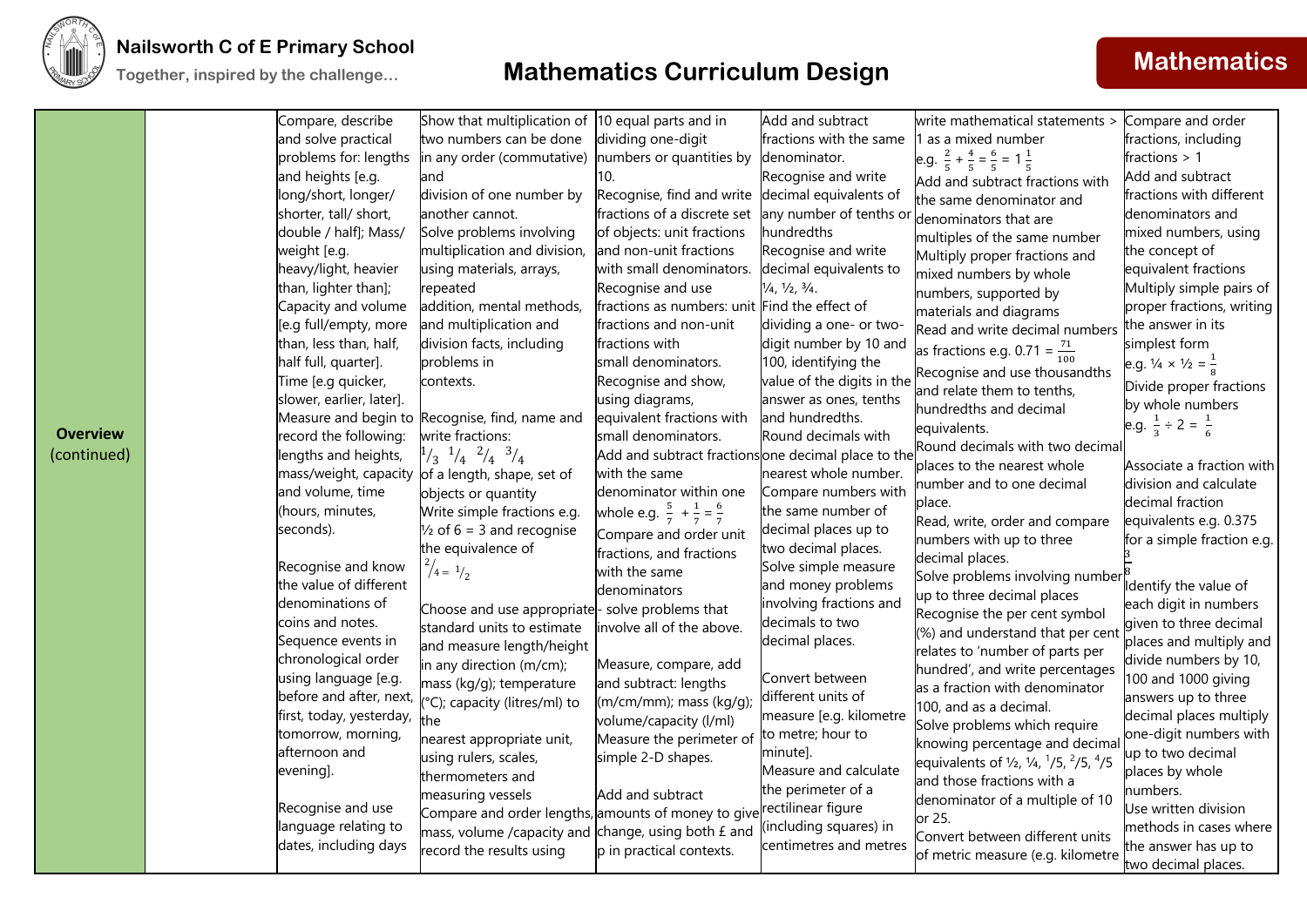

## **Mathematics CONFIGUATE:** Trial **CONFIGUATE: Mathematics Mathematics Mathematics Mathematics**

| <b>Overview</b><br>(continued) | Compare, describe<br>and solve practical<br>problems for: lengths<br>and heights [e.g.<br>long/short, longer/<br>shorter, tall/ short,<br>double / half]; Mass/<br>weight [e.g.<br>heavy/light, heavier<br>than, lighter than];<br>Capacity and volume<br>[e.g full/empty, more<br>than, less than, half,<br>half full, quarter].<br>Time [e.g quicker,<br>slower, earlier, later].<br>record the following:<br>lengths and heights,<br>mass/weight, capacity<br>and volume, time<br>(hours, minutes,<br>seconds).<br>Recognise and know<br>the value of different<br>denominations of<br>coins and notes.<br>Sequence events in<br>chronological order<br>using language [e.g.<br>before and after, next,<br>first, today, yesterday,<br>tomorrow, morning,<br>afternoon and<br>evening].<br>Recognise and use | Show that multiplication of<br>two numbers can be done<br>in any order (commutative)<br>and<br>division of one number by<br>another cannot.<br>Solve problems involving<br>multiplication and division,<br>using materials, arrays,<br>repeated<br>addition, mental methods,<br>and multiplication and<br>division facts, including<br>problems in<br>contexts.<br>Measure and begin to Recognise, find, name and<br>write fractions:<br>$\frac{1}{3}$ $\frac{1}{4}$ $\frac{2}{4}$ $\frac{3}{4}$<br>of a length, shape, set of<br>objects or quantity<br>Write simple fractions e.g.<br>$\frac{1}{2}$ of 6 = 3 and recognise<br>the equivalence of<br>$^{2}/_{4}$ = $^{1}/_{2}$<br>Choose and use appropriate- solve problems that<br>standard units to estimate<br>and measure length/height<br>in any direction (m/cm);<br>mass (kg/g); temperature<br>°C); capacity (litres/ml) to<br>the<br>nearest appropriate unit,<br>using rulers, scales,<br>thermometers and<br>measuring vessels<br>Compare and order lengths, amounts of money to give rectilinear figure | 10 equal parts and in<br>dividing one-digit<br>numbers or quantities by<br>10.<br>Recognise, find and write decimal equivalents of<br>fractions of a discrete set<br>of objects: unit fractions<br>and non-unit fractions<br>with small denominators.<br>Recognise and use<br>fractions as numbers: unit Find the effect of<br>fractions and non-unit<br>fractions with<br>small denominators.<br>Recognise and show,<br>using diagrams,<br>equivalent fractions with<br>small denominators.<br>Add and subtract fractionsone decimal place to the<br>with the same<br>denominator within one<br>whole e.g. $\frac{5}{7} + \frac{1}{7} = \frac{6}{7}$<br>Compare and order unit<br>fractions, and fractions<br>with the same<br>denominators<br>involve all of the above.<br>Measure, compare, add<br>and subtract: lengths<br>(m/cm/mm); mass (kg/g);<br>volume/capacity (l/ml)<br>Measure the perimeter of<br>simple 2-D shapes.<br>Add and subtract | Add and subtract<br>fractions with the same<br>denominator.<br>Recognise and write<br>any number of tenths or<br><b>hundredths</b><br>Recognise and write<br>decimal equivalents to<br>$\frac{1}{4}$ , $\frac{1}{2}$ , $\frac{3}{4}$ .<br>dividing a one- or two-<br>digit number by 10 and<br>100, identifying the<br>value of the digits in the<br>answer as ones, tenths<br>and hundredths.<br>Round decimals with<br>nearest whole number.<br>Compare numbers with<br>the same number of<br>decimal places up to<br>two decimal places.<br>Solve simple measure<br>and money problems<br>involving fractions and<br>decimals to two<br>decimal places.<br>Convert between<br>different units of<br>measure [e.g. kilometre<br>to metre; hour to<br>minute].<br>Measure and calculate<br>the perimeter of a | write mathematical statements ><br>1 as a mixed number<br>e.g. $\frac{2}{5} + \frac{4}{5} = \frac{6}{5} = 1\frac{1}{5}$<br>Add and subtract fractions with<br>the same denominator and<br>denominators that are<br>multiples of the same number<br>Multiply proper fractions and<br>mixed numbers by whole<br>numbers, supported by<br>materials and diagrams<br>Read and write decimal numbers<br>as fractions e.g. 0.71 = $\frac{71}{100}$<br>Recognise and use thousandths<br>and relate them to tenths,<br>hundredths and decimal<br>equivalents.<br>Round decimals with two decimal<br>places to the nearest whole<br>number and to one decimal<br>place.<br>Read, write, order and compare<br>numbers with up to three<br>decimal places.<br>Solve problems involving number<br>up to three decimal places<br>Recognise the per cent symbol<br>(%) and understand that per cent<br>relates to 'number of parts per<br>hundred', and write percentages<br>as a fraction with denominator<br>100, and as a decimal.<br>Solve problems which require<br>knowing percentage and decimal<br>equivalents of $\frac{1}{2}$ , $\frac{1}{4}$ , $\frac{1}{5}$ , $\frac{2}{5}$ , $\frac{4}{5}$<br>and those fractions with a<br>denominator of a multiple of 10<br>or 25. | Compare and order<br>fractions, including<br>fractions $> 1$<br>Add and subtract<br>fractions with different<br>denominators and<br>mixed numbers, using<br>the concept of<br>equivalent fractions<br>Multiply simple pairs of<br>proper fractions, writing<br>the answer in its<br>simplest form<br>e.g. $\frac{1}{4} \times \frac{1}{2} = \frac{1}{8}$<br>Divide proper fractions<br>by whole numbers<br>e.g. $\frac{1}{3} \div 2 = \frac{1}{6}$<br>Associate a fraction with<br>division and calculate<br>decimal fraction<br>equivalents e.g. 0.375<br>for a simple fraction e.g.<br>Identify the value of<br>each digit in numbers<br>given to three decimal<br>places and multiply and<br>divide numbers by 10,<br>100 and 1000 giving<br>answers up to three<br>decimal places multiply<br>one-digit numbers with<br>up to two decimal<br>places by whole<br>numbers.<br>Use written division |
|--------------------------------|-----------------------------------------------------------------------------------------------------------------------------------------------------------------------------------------------------------------------------------------------------------------------------------------------------------------------------------------------------------------------------------------------------------------------------------------------------------------------------------------------------------------------------------------------------------------------------------------------------------------------------------------------------------------------------------------------------------------------------------------------------------------------------------------------------------------|-----------------------------------------------------------------------------------------------------------------------------------------------------------------------------------------------------------------------------------------------------------------------------------------------------------------------------------------------------------------------------------------------------------------------------------------------------------------------------------------------------------------------------------------------------------------------------------------------------------------------------------------------------------------------------------------------------------------------------------------------------------------------------------------------------------------------------------------------------------------------------------------------------------------------------------------------------------------------------------------------------------------------------------------------------------------------|--------------------------------------------------------------------------------------------------------------------------------------------------------------------------------------------------------------------------------------------------------------------------------------------------------------------------------------------------------------------------------------------------------------------------------------------------------------------------------------------------------------------------------------------------------------------------------------------------------------------------------------------------------------------------------------------------------------------------------------------------------------------------------------------------------------------------------------------------------------------------------------------------------------------------------------------------------|----------------------------------------------------------------------------------------------------------------------------------------------------------------------------------------------------------------------------------------------------------------------------------------------------------------------------------------------------------------------------------------------------------------------------------------------------------------------------------------------------------------------------------------------------------------------------------------------------------------------------------------------------------------------------------------------------------------------------------------------------------------------------------------------------------------|----------------------------------------------------------------------------------------------------------------------------------------------------------------------------------------------------------------------------------------------------------------------------------------------------------------------------------------------------------------------------------------------------------------------------------------------------------------------------------------------------------------------------------------------------------------------------------------------------------------------------------------------------------------------------------------------------------------------------------------------------------------------------------------------------------------------------------------------------------------------------------------------------------------------------------------------------------------------------------------------------------------------------------------------------------------------------------------------------------------------------------------------------------------------------------------------------------------------------------------------------------------------|------------------------------------------------------------------------------------------------------------------------------------------------------------------------------------------------------------------------------------------------------------------------------------------------------------------------------------------------------------------------------------------------------------------------------------------------------------------------------------------------------------------------------------------------------------------------------------------------------------------------------------------------------------------------------------------------------------------------------------------------------------------------------------------------------------------------------------------------------------------------------------------------------|
|                                | language relating to<br>dates, including days                                                                                                                                                                                                                                                                                                                                                                                                                                                                                                                                                                                                                                                                                                                                                                   | mass, volume /capacity and change, using both £ and<br>record the results using                                                                                                                                                                                                                                                                                                                                                                                                                                                                                                                                                                                                                                                                                                                                                                                                                                                                                                                                                                                       | p in practical contexts.                                                                                                                                                                                                                                                                                                                                                                                                                                                                                                                                                                                                                                                                                                                                                                                                                                                                                                                               | (including squares) in<br>centimetres and metres                                                                                                                                                                                                                                                                                                                                                                                                                                                                                                                                                                                                                                                                                                                                                               | Convert between different units<br>of metric measure (e.g. kilometre                                                                                                                                                                                                                                                                                                                                                                                                                                                                                                                                                                                                                                                                                                                                                                                                                                                                                                                                                                                                                                                                                                                                                                                                 | methods in cases where<br>the answer has up to<br>two decimal places.                                                                                                                                                                                                                                                                                                                                                                                                                                                                                                                                                                                                                                                                                                                                                                                                                                |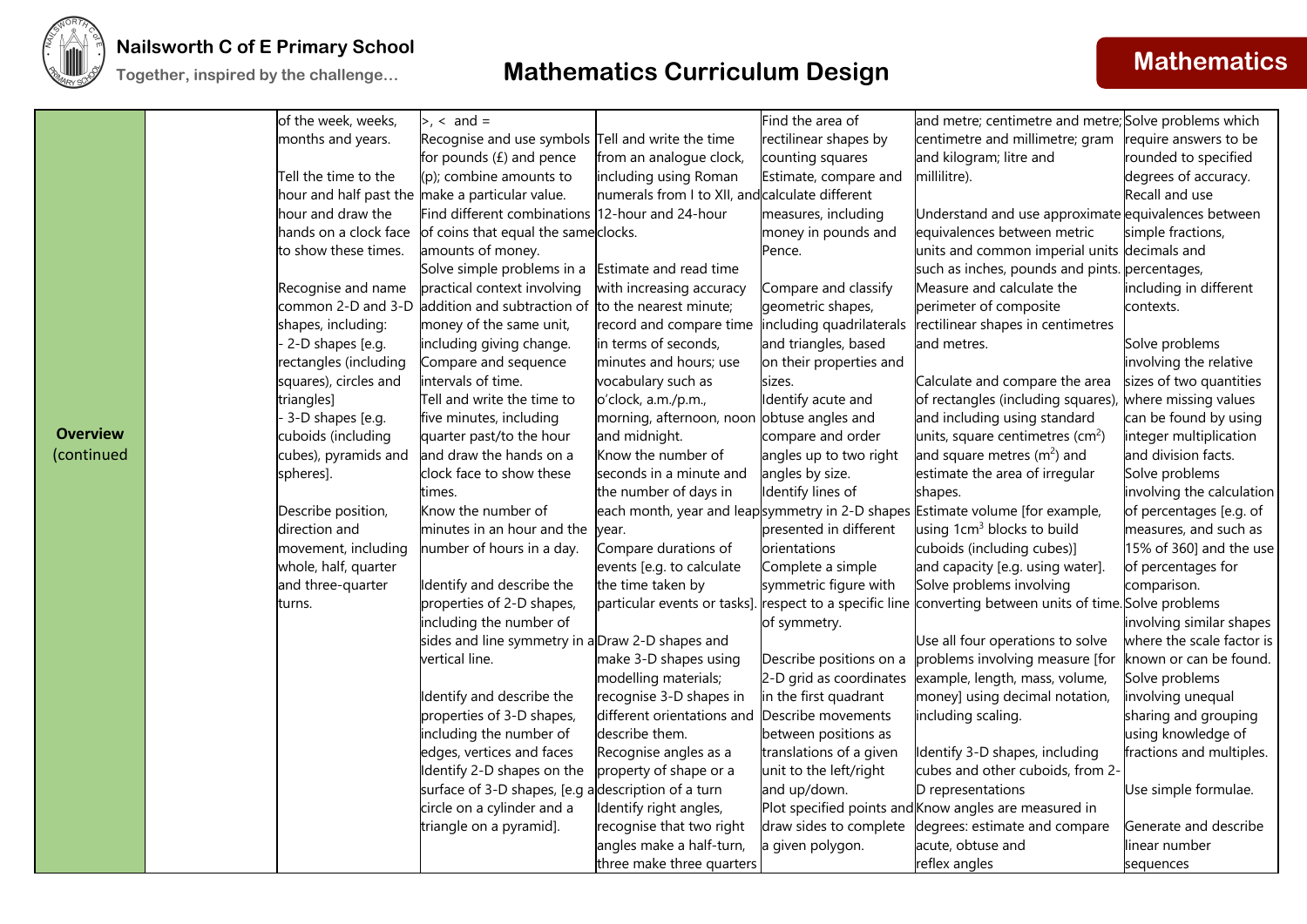

|                 | of the week, weeks,   | $> 1, 3, 4$ and =                                  |                                                  | Find the area of        | and metre; centimetre and metre; Solve problems which                                                    |                           |
|-----------------|-----------------------|----------------------------------------------------|--------------------------------------------------|-------------------------|----------------------------------------------------------------------------------------------------------|---------------------------|
|                 | months and years.     | Recognise and use symbols Tell and write the time  |                                                  | rectilinear shapes by   | centimetre and millimetre; gram                                                                          | require answers to be     |
|                 |                       | for pounds $(E)$ and pence                         | from an analogue clock,                          | counting squares        | and kilogram; litre and                                                                                  | rounded to specified      |
|                 | Tell the time to the  | $(p)$ ; combine amounts to                         | including using Roman                            | Estimate, compare and   | millilitre).                                                                                             | degrees of accuracy.      |
|                 |                       | hour and half past the make a particular value.    | numerals from I to XII, and calculate different  |                         |                                                                                                          | Recall and use            |
|                 | hour and draw the     | Find different combinations 12-hour and 24-hour    |                                                  | measures, including     | Understand and use approximate equivalences between                                                      |                           |
|                 | hands on a clock face | of coins that equal the same clocks.               |                                                  | money in pounds and     | equivalences between metric                                                                              | simple fractions,         |
|                 | to show these times.  | amounts of money.                                  |                                                  | Pence.                  | units and common imperial units decimals and                                                             |                           |
|                 |                       | Solve simple problems in a                         | Estimate and read time                           |                         | such as inches, pounds and pints. percentages,                                                           |                           |
|                 | Recognise and name    | practical context involving                        | with increasing accuracy                         | Compare and classify    | Measure and calculate the                                                                                | including in different    |
|                 | common 2-D and 3-D    | addition and subtraction of                        | to the nearest minute;                           | geometric shapes,       | perimeter of composite                                                                                   | contexts.                 |
|                 | shapes, including:    | money of the same unit,                            | record and compare time including quadrilaterals |                         | rectilinear shapes in centimetres                                                                        |                           |
|                 | 2-D shapes [e.g.      | including giving change.                           | in terms of seconds,                             | and triangles, based    | and metres.                                                                                              | Solve problems            |
|                 | rectangles (including | Compare and sequence                               | minutes and hours; use                           | on their properties and |                                                                                                          | involving the relative    |
|                 | squares), circles and | intervals of time.                                 | vocabulary such as                               | sizes.                  | Calculate and compare the area                                                                           | sizes of two quantities   |
|                 | triangles]            | Tell and write the time to                         | o'clock, a.m./p.m.,                              | Identify acute and      | of rectangles (including squares),                                                                       | where missing values      |
|                 | 3-D shapes [e.g.      | five minutes, including                            | morning, afternoon, noon obtuse angles and       |                         | and including using standard                                                                             | can be found by using     |
| <b>Overview</b> | cuboids (including    | quarter past/to the hour                           | and midnight.                                    | compare and order       | units, square centimetres ( $\text{cm}^2$ )                                                              | integer multiplication    |
| (continued      | cubes), pyramids and  | and draw the hands on a                            | Know the number of                               | angles up to two right  | and square metres $(m2)$ and                                                                             | and division facts.       |
|                 | spheres].             | clock face to show these                           | seconds in a minute and                          | angles by size.         | estimate the area of irregular                                                                           | Solve problems            |
|                 |                       | times.                                             | the number of days in                            | Identify lines of       | shapes.                                                                                                  | involving the calculation |
|                 | Describe position,    | Know the number of                                 |                                                  |                         | each month, year and leapsymmetry in 2-D shapes Estimate volume [for example,                            | of percentages [e.g. of   |
|                 | direction and         | minutes in an hour and the                         | year.                                            | presented in different  | using 1cm <sup>3</sup> blocks to build                                                                   | measures, and such as     |
|                 | movement, including   | number of hours in a day.                          | Compare durations of                             | orientations            | cuboids (including cubes)]                                                                               | 15% of 360] and the use   |
|                 | whole, half, quarter  |                                                    | events [e.g. to calculate                        | Complete a simple       | and capacity [e.g. using water].                                                                         | of percentages for        |
|                 | and three-quarter     | Identify and describe the                          | the time taken by                                | symmetric figure with   | Solve problems involving                                                                                 | comparison.               |
|                 | turns.                | properties of 2-D shapes,                          |                                                  |                         | particular events or tasks]. respect to a specific line converting between units of time. Solve problems |                           |
|                 |                       | including the number of                            |                                                  | of symmetry.            |                                                                                                          | involving similar shapes  |
|                 |                       | sides and line symmetry in a Draw 2-D shapes and   |                                                  |                         | Use all four operations to solve                                                                         | where the scale factor is |
|                 |                       | vertical line.                                     | make 3-D shapes using                            | Describe positions on a | problems involving measure [for                                                                          | known or can be found.    |
|                 |                       |                                                    | modelling materials;                             | 2-D grid as coordinates | example, length, mass, volume,                                                                           | Solve problems            |
|                 |                       | Identify and describe the                          | recognise 3-D shapes in                          | in the first quadrant   | money] using decimal notation,                                                                           | involving unequal         |
|                 |                       | properties of 3-D shapes,                          | different orientations and                       | Describe movements      | including scaling.                                                                                       | sharing and grouping      |
|                 |                       | including the number of                            | describe them.                                   | between positions as    |                                                                                                          | using knowledge of        |
|                 |                       | edges, vertices and faces                          | Recognise angles as a                            | translations of a given | Identify 3-D shapes, including                                                                           | fractions and multiples.  |
|                 |                       | Identify 2-D shapes on the                         | property of shape or a                           | unit to the left/right  | cubes and other cuboids, from 2-                                                                         |                           |
|                 |                       | surface of 3-D shapes, [e.g adescription of a turn |                                                  | and up/down.            | D representations                                                                                        | Use simple formulae.      |
|                 |                       | circle on a cylinder and a                         | Identify right angles,                           |                         | Plot specified points and Know angles are measured in                                                    |                           |
|                 |                       | triangle on a pyramid].                            | recognise that two right                         | draw sides to complete  | degrees: estimate and compare                                                                            | Generate and describe     |
|                 |                       |                                                    | angles make a half-turn,                         | a given polygon.        | acute, obtuse and                                                                                        | linear number             |
|                 |                       |                                                    | three make three quarters                        |                         | reflex angles                                                                                            | sequences                 |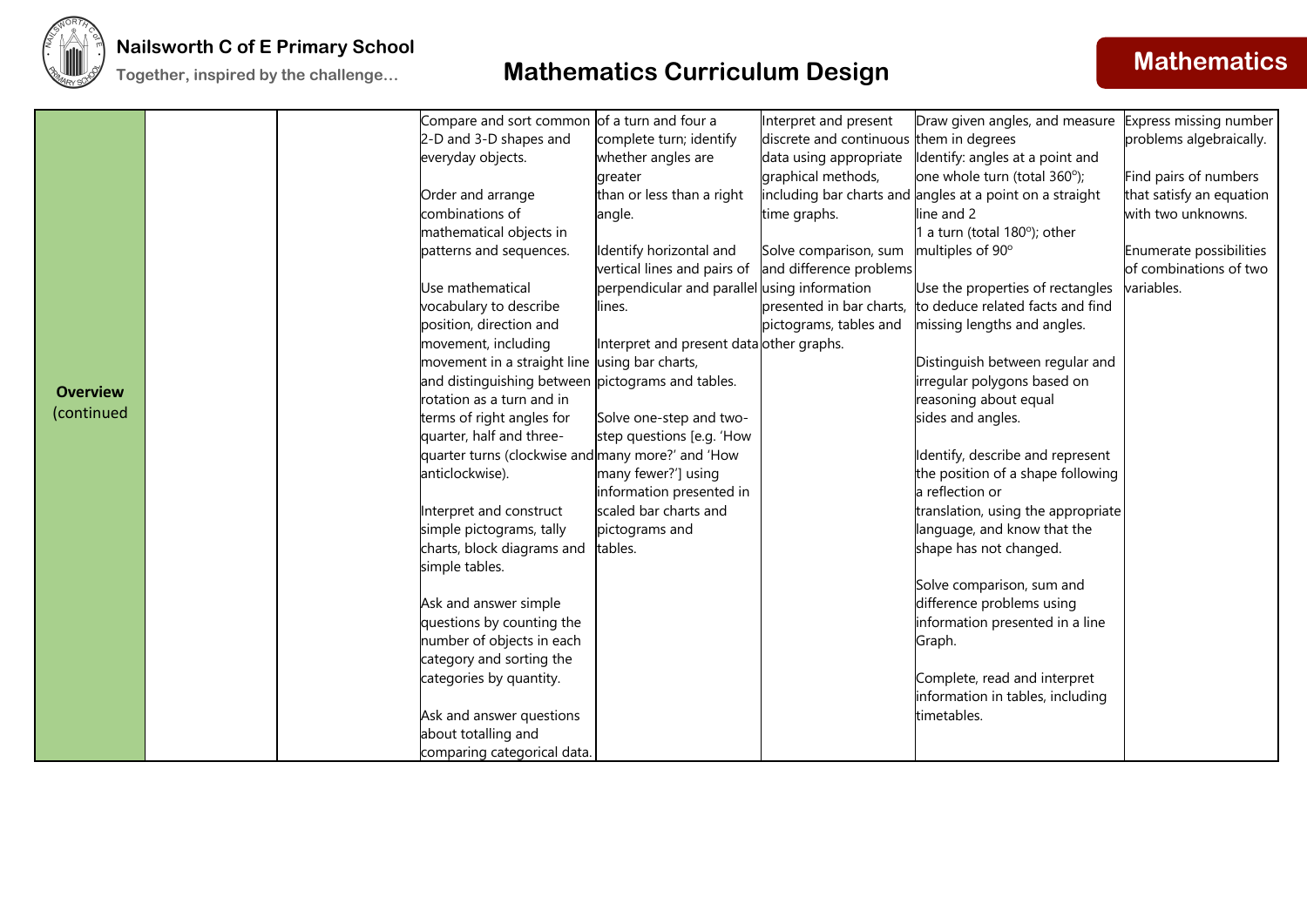

|                 | Compare and sort common of a turn and four a        |                                              | Interpret and present                   | Draw given angles, and measure Express missing number    |                          |
|-----------------|-----------------------------------------------------|----------------------------------------------|-----------------------------------------|----------------------------------------------------------|--------------------------|
|                 | 2-D and 3-D shapes and                              | complete turn; identify                      | discrete and continuous them in degrees |                                                          | problems algebraically.  |
|                 | everyday objects.                                   | whether angles are                           | data using appropriate                  | Identify: angles at a point and                          |                          |
|                 |                                                     | greater                                      | graphical methods,                      | one whole turn (total 360°);                             | Find pairs of numbers    |
|                 | Order and arrange                                   | than or less than a right                    |                                         | including bar charts and angles at a point on a straight | that satisfy an equation |
|                 | combinations of                                     | angle.                                       | time graphs.                            | line and 2                                               | with two unknowns.       |
|                 | mathematical objects in                             |                                              |                                         | a turn (total 180°); other                               |                          |
|                 | patterns and sequences.                             | Identify horizontal and                      | Solve comparison, sum                   | multiples of 90°                                         | Enumerate possibilities  |
|                 |                                                     | vertical lines and pairs of                  | and difference problems                 |                                                          | of combinations of two   |
|                 | Use mathematical                                    | perpendicular and parallel using information |                                         | Use the properties of rectangles                         | variables.               |
|                 | vocabulary to describe                              | lines.                                       | presented in bar charts,                | to deduce related facts and find                         |                          |
|                 | position, direction and                             |                                              | pictograms, tables and                  | missing lengths and angles.                              |                          |
|                 | movement, including                                 | Interpret and present data other graphs.     |                                         |                                                          |                          |
|                 | movement in a straight line using bar charts,       |                                              |                                         | Distinguish between regular and                          |                          |
| <b>Overview</b> | and distinguishing between pictograms and tables.   |                                              |                                         | irregular polygons based on                              |                          |
| (continued      | rotation as a turn and in                           |                                              |                                         | reasoning about equal                                    |                          |
|                 | terms of right angles for                           | Solve one-step and two-                      |                                         | sides and angles.                                        |                          |
|                 | quarter, half and three-                            | step questions [e.g. 'How                    |                                         |                                                          |                          |
|                 | quarter turns (clockwise and many more?' and 'How   |                                              |                                         | Identify, describe and represent                         |                          |
|                 | anticlockwise).                                     | many fewer?'] using                          |                                         | the position of a shape following                        |                          |
|                 |                                                     | information presented in                     |                                         | a reflection or                                          |                          |
|                 | Interpret and construct                             | scaled bar charts and                        |                                         | translation, using the appropriate                       |                          |
|                 | simple pictograms, tally                            | pictograms and                               |                                         | language, and know that the                              |                          |
|                 | charts, block diagrams and                          | tables.                                      |                                         | shape has not changed.                                   |                          |
|                 | simple tables.                                      |                                              |                                         |                                                          |                          |
|                 |                                                     |                                              |                                         | Solve comparison, sum and                                |                          |
|                 | Ask and answer simple                               |                                              |                                         | difference problems using                                |                          |
|                 | questions by counting the                           |                                              |                                         | information presented in a line                          |                          |
|                 | number of objects in each                           |                                              |                                         | Graph.                                                   |                          |
|                 | category and sorting the<br>categories by quantity. |                                              |                                         | Complete, read and interpret                             |                          |
|                 |                                                     |                                              |                                         | information in tables, including                         |                          |
|                 | Ask and answer questions                            |                                              |                                         | timetables.                                              |                          |
|                 | about totalling and                                 |                                              |                                         |                                                          |                          |
|                 | comparing categorical data.                         |                                              |                                         |                                                          |                          |
|                 |                                                     |                                              |                                         |                                                          |                          |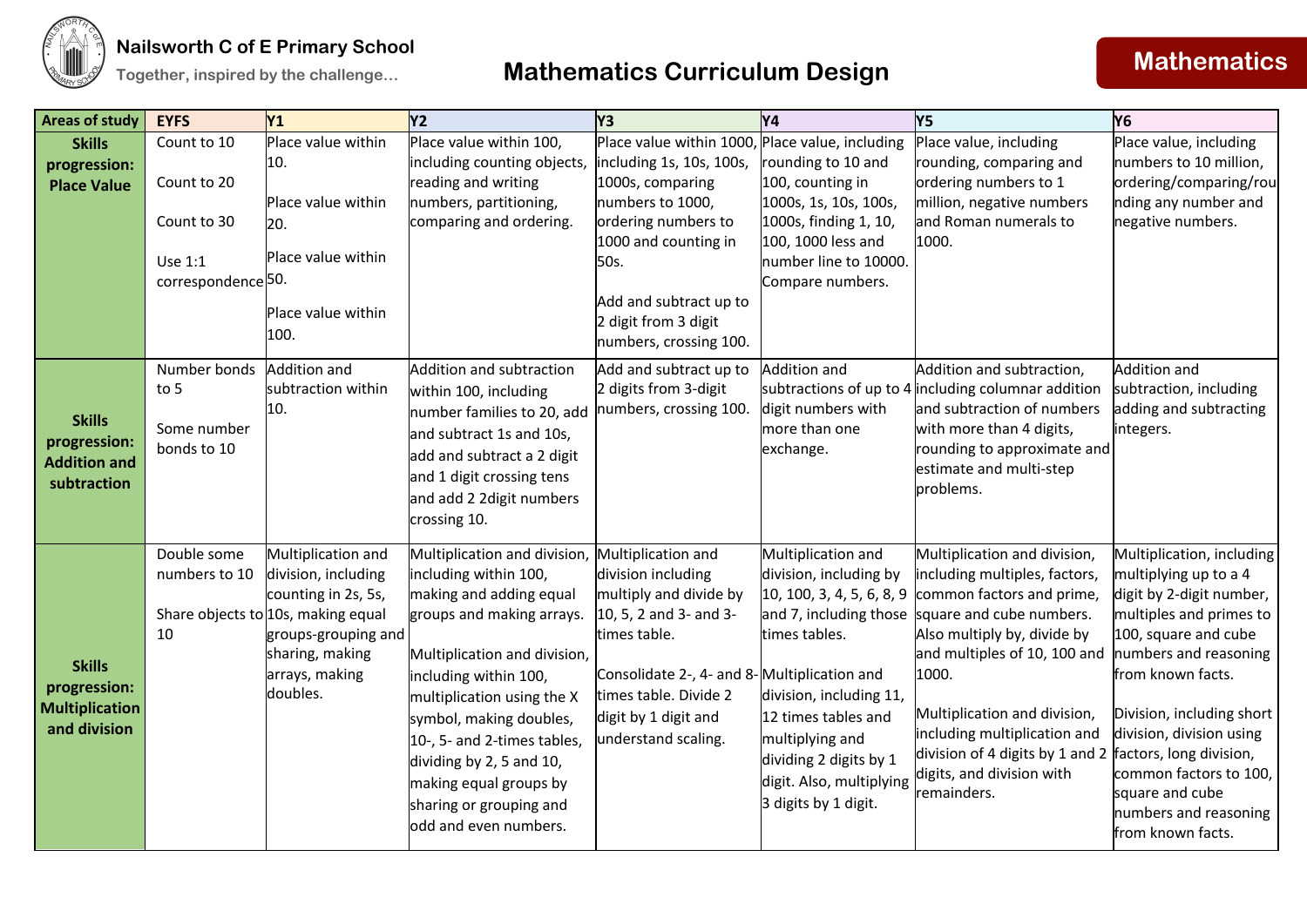

## **Together, inspired by the challenge... Mathematics Curriculum Design <b>Mathematics Mathematics**

| <b>Areas of study</b>                 | <b>EYFS</b>                   | Y <sub>1</sub>                                            | Y2                                                   | Y <sub>3</sub>                                   | Y4                                               | <b>Y5</b>                                                                                              | <b>Y6</b>                                             |
|---------------------------------------|-------------------------------|-----------------------------------------------------------|------------------------------------------------------|--------------------------------------------------|--------------------------------------------------|--------------------------------------------------------------------------------------------------------|-------------------------------------------------------|
| <b>Skills</b>                         | Count to 10                   | Place value within                                        | Place value within 100,                              | Place value within 1000, Place value, including  |                                                  | Place value, including                                                                                 | Place value, including                                |
| progression:                          |                               | 10.                                                       | including counting objects                           | including 1s, 10s, 100s,                         | rounding to 10 and                               | rounding, comparing and                                                                                | numbers to 10 million,                                |
| <b>Place Value</b>                    | Count to 20                   | Place value within                                        | reading and writing<br>numbers, partitioning,        | 1000s, comparing<br>numbers to 1000,             | 100, counting in<br>1000s, 1s, 10s, 100s,        | ordering numbers to 1<br>million, negative numbers                                                     | ordering/comparing/rou<br>nding any number and        |
|                                       | Count to 30                   | 20.                                                       | comparing and ordering.                              | ordering numbers to                              | 1000s, finding 1, 10,                            | and Roman numerals to                                                                                  | negative numbers.                                     |
|                                       |                               |                                                           |                                                      | 1000 and counting in                             | 100, 1000 less and                               | 1000.                                                                                                  |                                                       |
|                                       | Use 1:1                       | Place value within                                        |                                                      | 50s.                                             | number line to 10000.                            |                                                                                                        |                                                       |
|                                       | correspondence <sup>50.</sup> |                                                           |                                                      |                                                  | Compare numbers.                                 |                                                                                                        |                                                       |
|                                       |                               | Place value within                                        |                                                      | Add and subtract up to<br>2 digit from 3 digit   |                                                  |                                                                                                        |                                                       |
|                                       |                               | 100.                                                      |                                                      | numbers, crossing 100.                           |                                                  |                                                                                                        |                                                       |
|                                       | Number bonds                  | Addition and                                              | Addition and subtraction                             | Add and subtract up to                           | <b>Addition and</b>                              | Addition and subtraction,                                                                              | Addition and                                          |
|                                       | to 5                          | subtraction within                                        | within 100, including                                | 2 digits from 3-digit                            |                                                  | subtractions of up to 4 including columnar addition                                                    | subtraction, including                                |
|                                       |                               | 10.                                                       | number families to 20, add                           | numbers, crossing 100.                           | digit numbers with                               | and subtraction of numbers                                                                             | adding and subtracting                                |
| <b>Skills</b><br>progression:         | Some number                   |                                                           | and subtract 1s and 10s,                             |                                                  | more than one                                    | with more than 4 digits,                                                                               | integers.                                             |
| <b>Addition and</b>                   | bonds to 10                   |                                                           | add and subtract a 2 digit                           |                                                  | exchange.                                        | rounding to approximate and                                                                            |                                                       |
| subtraction                           |                               |                                                           | and 1 digit crossing tens                            |                                                  |                                                  | estimate and multi-step<br>problems.                                                                   |                                                       |
|                                       |                               |                                                           | and add 2 2 digit numbers                            |                                                  |                                                  |                                                                                                        |                                                       |
|                                       |                               |                                                           | crossing 10.                                         |                                                  |                                                  |                                                                                                        |                                                       |
|                                       | Double some                   | Multiplication and                                        | Multiplication and division, Multiplication and      |                                                  | Multiplication and                               | Multiplication and division,                                                                           | Multiplication, including                             |
|                                       | numbers to 10                 | division, including                                       | including within 100,                                | division including                               | division, including by                           | including multiples, factors,                                                                          | multiplying up to a 4                                 |
|                                       |                               | counting in 2s, 5s,<br>Share objects to 10s, making equal | making and adding equal<br>groups and making arrays. | multiply and divide by<br>10, 5, 2 and 3- and 3- |                                                  | 10, 100, 3, 4, 5, 6, 8, 9 common factors and prime,<br>and 7, including those square and cube numbers. | digit by 2-digit number,<br>multiples and primes to   |
|                                       | 10                            | groups-grouping and                                       |                                                      | times table.                                     | times tables.                                    | Also multiply by, divide by                                                                            | 100, square and cube                                  |
|                                       |                               | sharing, making                                           | Multiplication and division,                         |                                                  |                                                  | and multiples of 10, 100 and                                                                           | numbers and reasoning                                 |
| <b>Skills</b>                         |                               | arrays, making                                            | including within 100,                                | Consolidate 2-, 4- and 8-Multiplication and      |                                                  | 1000.                                                                                                  | from known facts.                                     |
| progression:<br><b>Multiplication</b> |                               | doubles.                                                  | multiplication using the X                           | times table. Divide 2                            | division, including 11,                          |                                                                                                        |                                                       |
| and division                          |                               |                                                           | symbol, making doubles,                              | digit by 1 digit and                             | 12 times tables and                              | Multiplication and division,<br>including multiplication and                                           | Division, including short<br>division, division using |
|                                       |                               |                                                           | 10-, 5- and 2-times tables,                          | understand scaling.                              | multiplying and                                  | division of 4 digits by 1 and 2 $ $ factors, long division,                                            |                                                       |
|                                       |                               |                                                           | dividing by 2, 5 and 10,                             |                                                  | dividing 2 digits by 1                           | digits, and division with                                                                              | common factors to 100,                                |
|                                       |                               |                                                           | making equal groups by<br>sharing or grouping and    |                                                  | digit. Also, multiplying<br>3 digits by 1 digit. | remainders.                                                                                            | square and cube                                       |
|                                       |                               |                                                           | odd and even numbers.                                |                                                  |                                                  |                                                                                                        | numbers and reasoning                                 |
|                                       |                               |                                                           |                                                      |                                                  |                                                  |                                                                                                        | from known facts.                                     |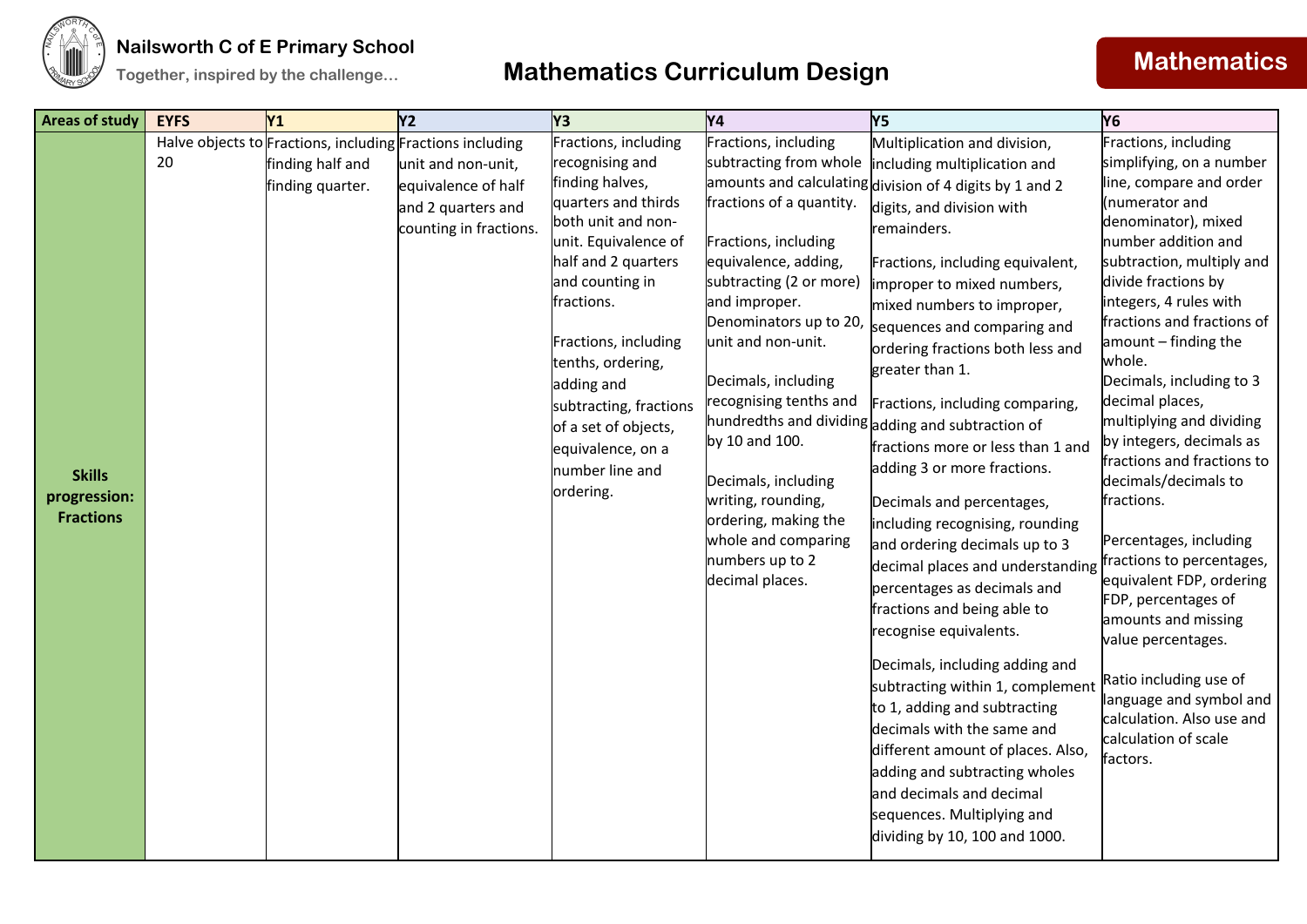

### **Nailsworth C of E Primary School**

## **Together, inspired by the challenge... Mathematics Curriculum Design <b>Mathematics Mathematics**

| <b>Areas of study</b>                             | <b>EYFS</b> | Y <sub>1</sub>                       | Y <sub>2</sub>                                                                                                                                         | Y3                                                                                                                                                                                                                                                                                                                                                        | <b>Y4</b>                                                                                                                                                                                                                                                                                                                                                                                                                   | Y5                                                                                                                                                                                                                                                                                                                                                                                                                                                                                                                                                                                                                                                                                                                                                                                                                                                                                                                                                                                                                                                      | Y <sub>6</sub>                                                                                                                                                                                                                                                                                                                                                                                                                                                                                                                                                                                                                                                                                                                                    |
|---------------------------------------------------|-------------|--------------------------------------|--------------------------------------------------------------------------------------------------------------------------------------------------------|-----------------------------------------------------------------------------------------------------------------------------------------------------------------------------------------------------------------------------------------------------------------------------------------------------------------------------------------------------------|-----------------------------------------------------------------------------------------------------------------------------------------------------------------------------------------------------------------------------------------------------------------------------------------------------------------------------------------------------------------------------------------------------------------------------|---------------------------------------------------------------------------------------------------------------------------------------------------------------------------------------------------------------------------------------------------------------------------------------------------------------------------------------------------------------------------------------------------------------------------------------------------------------------------------------------------------------------------------------------------------------------------------------------------------------------------------------------------------------------------------------------------------------------------------------------------------------------------------------------------------------------------------------------------------------------------------------------------------------------------------------------------------------------------------------------------------------------------------------------------------|---------------------------------------------------------------------------------------------------------------------------------------------------------------------------------------------------------------------------------------------------------------------------------------------------------------------------------------------------------------------------------------------------------------------------------------------------------------------------------------------------------------------------------------------------------------------------------------------------------------------------------------------------------------------------------------------------------------------------------------------------|
| <b>Skills</b><br>progression:<br><b>Fractions</b> | 20          | finding half and<br>finding quarter. | Halve objects to Fractions, including Fractions including<br>unit and non-unit,<br>equivalence of half<br>and 2 quarters and<br>counting in fractions. | Fractions, including<br>recognising and<br>finding halves,<br>quarters and thirds<br>both unit and non-<br>unit. Equivalence of<br>half and 2 quarters<br>and counting in<br>fractions.<br>Fractions, including<br>tenths, ordering,<br>adding and<br>subtracting, fractions<br>of a set of objects,<br>equivalence, on a<br>number line and<br>ordering. | Fractions, including<br>subtracting from whole<br>fractions of a quantity.<br>Fractions, including<br>equivalence, adding,<br>subtracting (2 or more)<br>and improper.<br>Denominators up to 20,<br>unit and non-unit.<br>Decimals, including<br>recognising tenths and<br>by 10 and 100.<br>Decimals, including<br>writing, rounding,<br>ordering, making the<br>whole and comparing<br>numbers up to 2<br>decimal places. | Multiplication and division,<br>including multiplication and<br>amounts and calculating division of 4 digits by 1 and 2<br>digits, and division with<br>remainders.<br>Fractions, including equivalent,<br>improper to mixed numbers,<br>mixed numbers to improper,<br>sequences and comparing and<br>ordering fractions both less and<br>greater than 1.<br>Fractions, including comparing,<br>hundredths and dividing adding and subtraction of<br>fractions more or less than 1 and<br>adding 3 or more fractions.<br>Decimals and percentages,<br>including recognising, rounding<br>and ordering decimals up to 3<br>decimal places and understanding<br>percentages as decimals and<br>fractions and being able to<br>recognise equivalents.<br>Decimals, including adding and<br>subtracting within 1, complement<br>to 1, adding and subtracting<br>decimals with the same and<br>different amount of places. Also,<br>adding and subtracting wholes<br>and decimals and decimal<br>sequences. Multiplying and<br>dividing by 10, 100 and 1000. | Fractions, including<br>simplifying, on a number<br>line, compare and order<br>(numerator and<br>denominator), mixed<br>number addition and<br>subtraction, multiply and<br>divide fractions by<br>integers, 4 rules with<br>fractions and fractions of<br>amount - finding the<br>whole.<br>Decimals, including to 3<br>decimal places,<br>multiplying and dividing<br>by integers, decimals as<br>fractions and fractions to<br>decimals/decimals to<br>fractions.<br>Percentages, including<br>fractions to percentages,<br>equivalent FDP, ordering<br>FDP, percentages of<br>amounts and missing<br>value percentages.<br>Ratio including use of<br>language and symbol and<br>calculation. Also use and<br>calculation of scale<br>factors. |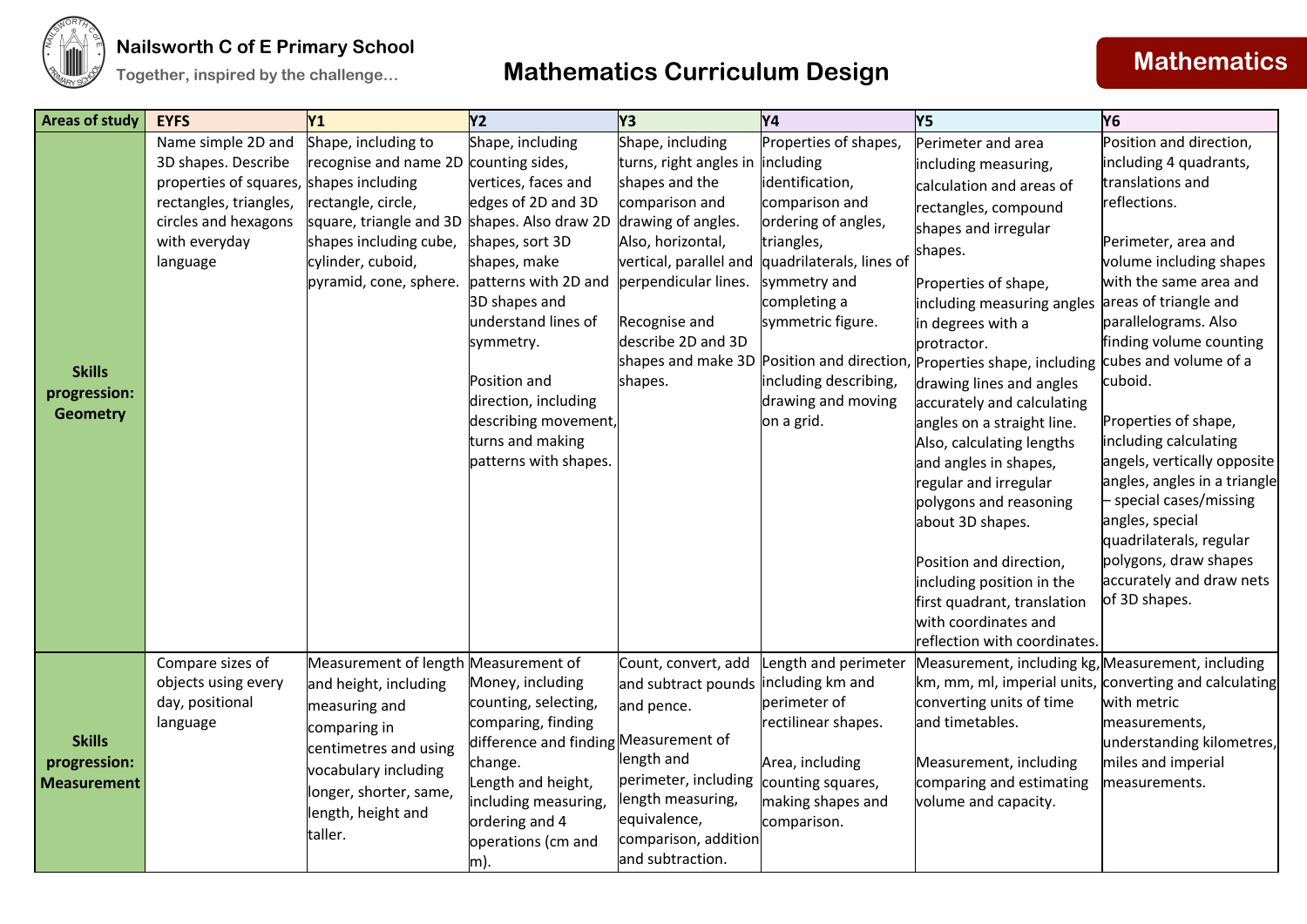



| <b>Areas of study</b>                               | <b>EYFS</b>                                                                                                                                                         | <b>Y1</b>                                                                                                                                                                                                  | <b>Y2</b>                                                                                                                                                                                                                                                                                                     | Y <sub>3</sub>                                                                                                                                                                                                                | <b>Y4</b>                                                                                                                                                                                                                                                  | <b>Y5</b>                                                                                                                                                                                                                                                                                                                                                                                                                                                                                                                                                                                                                                                                 | <b>Y6</b>                                                                                                                                                                                                                                                                                                                                                                                                                                                                                                                                        |
|-----------------------------------------------------|---------------------------------------------------------------------------------------------------------------------------------------------------------------------|------------------------------------------------------------------------------------------------------------------------------------------------------------------------------------------------------------|---------------------------------------------------------------------------------------------------------------------------------------------------------------------------------------------------------------------------------------------------------------------------------------------------------------|-------------------------------------------------------------------------------------------------------------------------------------------------------------------------------------------------------------------------------|------------------------------------------------------------------------------------------------------------------------------------------------------------------------------------------------------------------------------------------------------------|---------------------------------------------------------------------------------------------------------------------------------------------------------------------------------------------------------------------------------------------------------------------------------------------------------------------------------------------------------------------------------------------------------------------------------------------------------------------------------------------------------------------------------------------------------------------------------------------------------------------------------------------------------------------------|--------------------------------------------------------------------------------------------------------------------------------------------------------------------------------------------------------------------------------------------------------------------------------------------------------------------------------------------------------------------------------------------------------------------------------------------------------------------------------------------------------------------------------------------------|
| <b>Skills</b><br>progression:<br><b>Geometry</b>    | Name simple 2D and<br>3D shapes. Describe<br>properties of squares, shapes including<br>rectangles, triangles,<br>circles and hexagons<br>with everyday<br>language | Shape, including to<br>recognise and name 2D<br>rectangle, circle,<br>square, triangle and 3D shapes. Also draw 2D<br>shapes including cube,<br>cylinder, cuboid,<br>pyramid, cone, sphere.                | Shape, including<br>counting sides,<br>vertices, faces and<br>edges of 2D and 3D<br>shapes, sort 3D<br>shapes, make<br>patterns with 2D and<br>3D shapes and<br>understand lines of<br>symmetry.<br>Position and<br>direction, including<br>describing movement,<br>turns and making<br>patterns with shapes. | Shape, including<br>turns, right angles in<br>shapes and the<br>comparison and<br>drawing of angles.<br>Also, horizontal,<br>vertical, parallel and<br>perpendicular lines.<br>Recognise and<br>describe 2D and 3D<br>shapes. | Properties of shapes,<br>including<br>identification,<br>comparison and<br>ordering of angles,<br>triangles,<br>quadrilaterals, lines of<br>symmetry and<br>completing a<br>symmetric figure.<br>including describing,<br>drawing and moving<br>on a grid. | Perimeter and area<br>including measuring,<br>calculation and areas of<br>rectangles, compound<br>shapes and irregular<br>shapes.<br>Properties of shape,<br>including measuring angles<br>in degrees with a<br>protractor.<br>shapes and make 3D Position and direction, Properties shape, including<br>drawing lines and angles<br>accurately and calculating<br>angles on a straight line.<br>Also, calculating lengths<br>and angles in shapes,<br>regular and irregular<br>polygons and reasoning<br>about 3D shapes.<br>Position and direction,<br>including position in the<br>first quadrant, translation<br>with coordinates and<br>reflection with coordinates. | Position and direction,<br>including 4 quadrants,<br>translations and<br>reflections.<br>Perimeter, area and<br>volume including shapes<br>with the same area and<br>areas of triangle and<br>parallelograms. Also<br>finding volume counting<br>cubes and volume of a<br>cuboid.<br>Properties of shape,<br>including calculating<br>angels, vertically opposite<br>angles, angles in a triangle<br>- special cases/missing<br>angles, special<br>quadrilaterals, regular<br>polygons, draw shapes<br>accurately and draw nets<br>of 3D shapes. |
| <b>Skills</b><br>progression:<br><b>Measurement</b> | Compare sizes of<br>objects using every<br>day, positional<br>language                                                                                              | Measurement of length Measurement of<br>and height, including<br>measuring and<br>comparing in<br>centimetres and using<br>vocabulary including<br>longer, shorter, same,<br>length, height and<br>taller. | Money, including<br>counting, selecting,<br>comparing, finding<br>difference and finding Measurement of<br>change.<br>Length and height,<br>including measuring,<br>ordering and 4<br>operations (cm and<br>m).                                                                                               | Count, convert, add<br>and subtract pounds<br>and pence.<br>length and<br>perimeter, including<br>length measuring,<br>equivalence,<br>comparison, addition<br>and subtraction.                                               | Length and perimeter<br>including km and<br>perimeter of<br>rectilinear shapes.<br>Area, including<br>counting squares,<br>making shapes and<br>comparison.                                                                                                | Measurement, including kg, Measurement, including<br>km, mm, ml, imperial units, converting and calculating<br>converting units of time<br>and timetables.<br>Measurement, including<br>comparing and estimating<br>volume and capacity.                                                                                                                                                                                                                                                                                                                                                                                                                                  | with metric<br>measurements,<br>understanding kilometres,<br>miles and imperial<br>measurements.                                                                                                                                                                                                                                                                                                                                                                                                                                                 |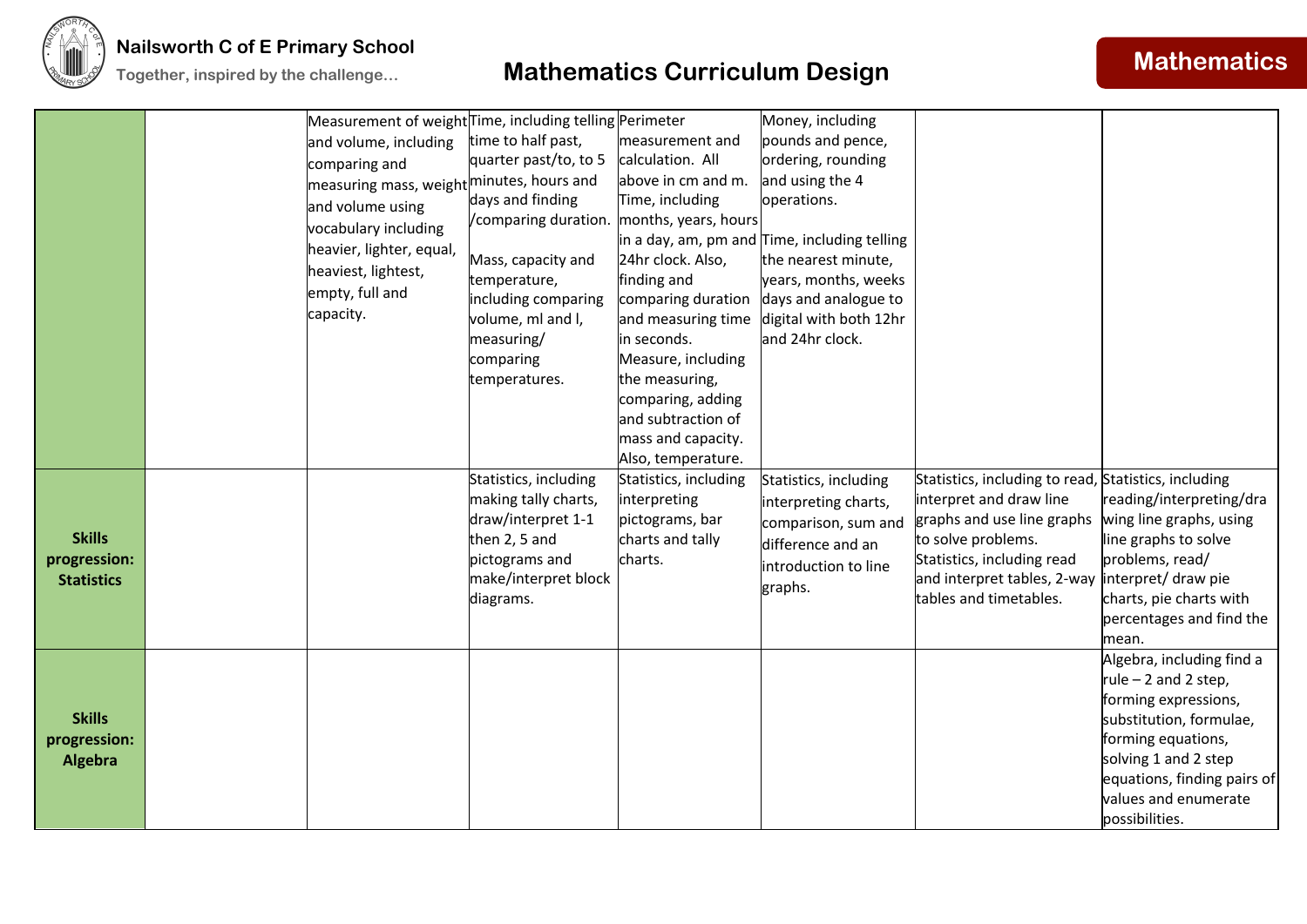

|                                                    | Measurement of weight Time, including telling Perimeter<br>and volume, including<br>comparing and<br> measuring mass, weight <sup> minutes, hours and</sup><br>and volume using<br>vocabulary including<br>heavier, lighter, equal,<br>heaviest, lightest,<br>empty, full and<br>capacity. | time to half past,<br>quarter past/to, to 5<br>days and finding<br>/comparing duration. months, years, hours<br>Mass, capacity and<br>temperature,<br>including comparing<br>volume, ml and I,<br>measuring/<br>comparing<br>temperatures. | measurement and<br>calculation. All<br>above in cm and m.<br>Time, including<br>24hr clock. Also,<br>finding and<br>comparing duration<br>and measuring time<br>in seconds.<br>Measure, including<br>the measuring,<br>comparing, adding<br>and subtraction of<br>mass and capacity.<br>Also, temperature. | Money, including<br>pounds and pence,<br>ordering, rounding<br>and using the 4<br>operations.<br>in a day, am, pm and Time, including telling<br>the nearest minute,<br>years, months, weeks<br>days and analogue to<br>digital with both 12hr<br>and 24hr clock. |                                                                                                                                                                                                                            |                                                                                                                                                                                                                              |
|----------------------------------------------------|--------------------------------------------------------------------------------------------------------------------------------------------------------------------------------------------------------------------------------------------------------------------------------------------|--------------------------------------------------------------------------------------------------------------------------------------------------------------------------------------------------------------------------------------------|------------------------------------------------------------------------------------------------------------------------------------------------------------------------------------------------------------------------------------------------------------------------------------------------------------|-------------------------------------------------------------------------------------------------------------------------------------------------------------------------------------------------------------------------------------------------------------------|----------------------------------------------------------------------------------------------------------------------------------------------------------------------------------------------------------------------------|------------------------------------------------------------------------------------------------------------------------------------------------------------------------------------------------------------------------------|
| <b>Skills</b><br>progression:<br><b>Statistics</b> |                                                                                                                                                                                                                                                                                            | Statistics, including<br>making tally charts,<br>draw/interpret 1-1<br>then 2, 5 and<br>pictograms and<br>make/interpret block<br>diagrams.                                                                                                | Statistics, including<br>interpreting<br>pictograms, bar<br>charts and tally<br>charts.                                                                                                                                                                                                                    | Statistics, including<br>interpreting charts,<br>comparison, sum and<br>difference and an<br>introduction to line<br>graphs.                                                                                                                                      | Statistics, including to read, Statistics, including<br>interpret and draw line<br>graphs and use line graphs<br>to solve problems.<br>Statistics, including read<br>and interpret tables, 2-way<br>tables and timetables. | reading/interpreting/dra<br>wing line graphs, using<br>line graphs to solve<br>problems, read/<br>interpret/ draw pie<br>charts, pie charts with<br>percentages and find the<br>mean.                                        |
| <b>Skills</b><br>progression:<br><b>Algebra</b>    |                                                                                                                                                                                                                                                                                            |                                                                                                                                                                                                                                            |                                                                                                                                                                                                                                                                                                            |                                                                                                                                                                                                                                                                   |                                                                                                                                                                                                                            | Algebra, including find a<br>rule $-2$ and 2 step,<br>forming expressions,<br>substitution, formulae,<br>forming equations,<br>solving 1 and 2 step<br>equations, finding pairs of<br>values and enumerate<br>possibilities. |